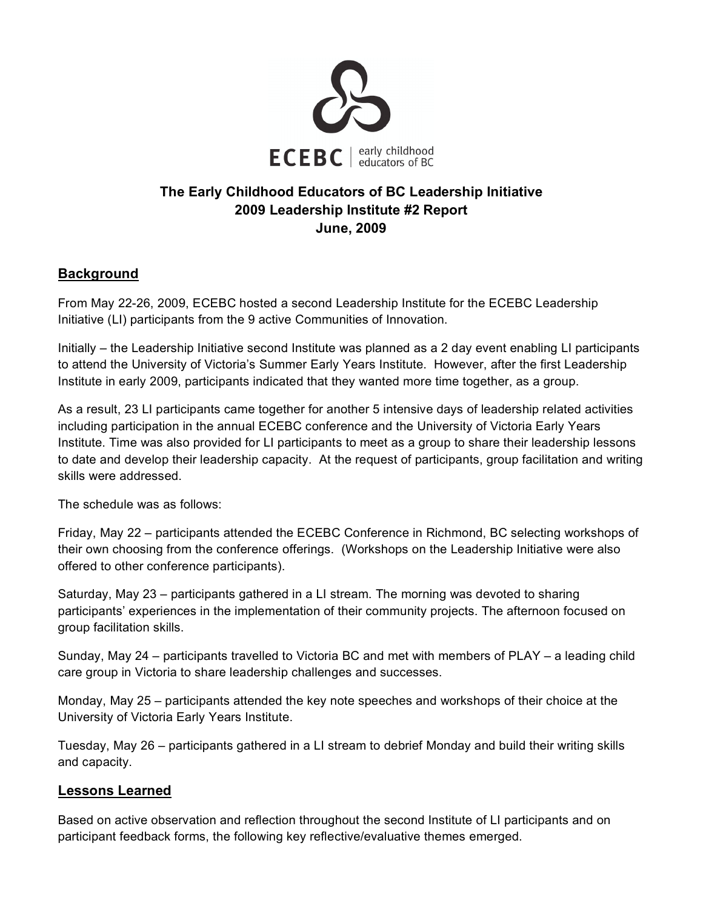

## **The Early Childhood Educators of BC Leadership Initiative 2009 Leadership Institute #2 Report June, 2009**

### **Background**

From May 22-26, 2009, ECEBC hosted a second Leadership Institute for the ECEBC Leadership Initiative (LI) participants from the 9 active Communities of Innovation.

Initially – the Leadership Initiative second Institute was planned as a 2 day event enabling LI participants to attend the University of Victoria's Summer Early Years Institute. However, after the first Leadership Institute in early 2009, participants indicated that they wanted more time together, as a group.

As a result, 23 LI participants came together for another 5 intensive days of leadership related activities including participation in the annual ECEBC conference and the University of Victoria Early Years Institute. Time was also provided for LI participants to meet as a group to share their leadership lessons to date and develop their leadership capacity. At the request of participants, group facilitation and writing skills were addressed.

The schedule was as follows:

Friday, May 22 – participants attended the ECEBC Conference in Richmond, BC selecting workshops of their own choosing from the conference offerings. (Workshops on the Leadership Initiative were also offered to other conference participants).

Saturday, May 23 – participants gathered in a LI stream. The morning was devoted to sharing participants' experiences in the implementation of their community projects. The afternoon focused on group facilitation skills.

Sunday, May 24 – participants travelled to Victoria BC and met with members of PLAY – a leading child care group in Victoria to share leadership challenges and successes.

Monday, May 25 – participants attended the key note speeches and workshops of their choice at the University of Victoria Early Years Institute.

Tuesday, May 26 – participants gathered in a LI stream to debrief Monday and build their writing skills and capacity.

#### **Lessons Learned**

Based on active observation and reflection throughout the second Institute of LI participants and on participant feedback forms, the following key reflective/evaluative themes emerged.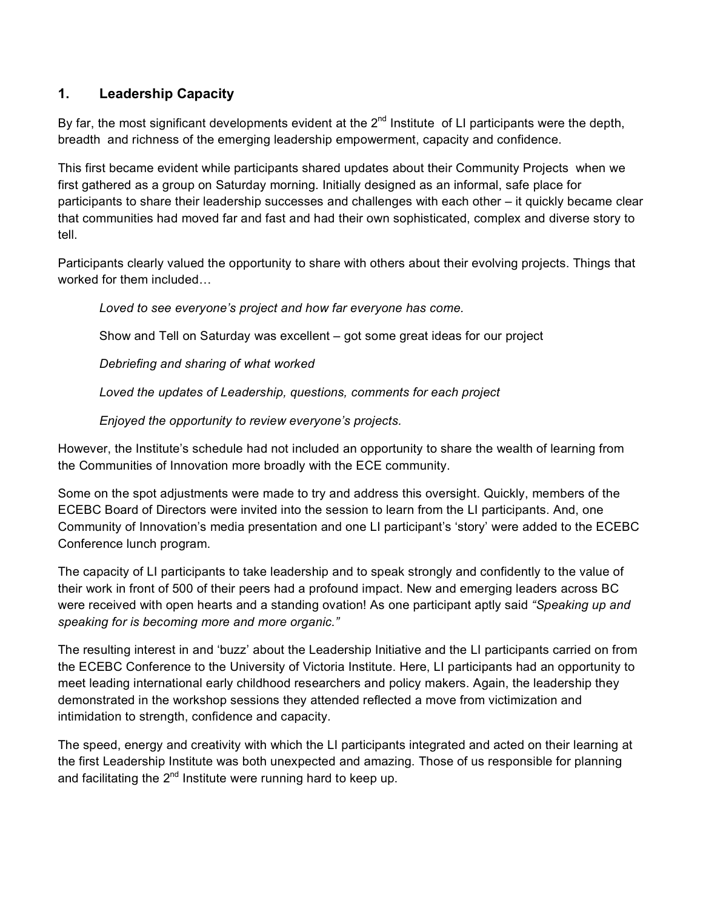## **1. Leadership Capacity**

By far, the most significant developments evident at the  $2<sup>nd</sup>$  Institute of LI participants were the depth, breadth and richness of the emerging leadership empowerment, capacity and confidence.

This first became evident while participants shared updates about their Community Projects when we first gathered as a group on Saturday morning. Initially designed as an informal, safe place for participants to share their leadership successes and challenges with each other – it quickly became clear that communities had moved far and fast and had their own sophisticated, complex and diverse story to tell.

Participants clearly valued the opportunity to share with others about their evolving projects. Things that worked for them included…

*Loved to see everyone's project and how far everyone has come.*

Show and Tell on Saturday was excellent – got some great ideas for our project

*Debriefing and sharing of what worked*

*Loved the updates of Leadership, questions, comments for each project*

*Enjoyed the opportunity to review everyone's projects.*

However, the Institute's schedule had not included an opportunity to share the wealth of learning from the Communities of Innovation more broadly with the ECE community.

Some on the spot adjustments were made to try and address this oversight. Quickly, members of the ECEBC Board of Directors were invited into the session to learn from the LI participants. And, one Community of Innovation's media presentation and one LI participant's 'story' were added to the ECEBC Conference lunch program.

The capacity of LI participants to take leadership and to speak strongly and confidently to the value of their work in front of 500 of their peers had a profound impact. New and emerging leaders across BC were received with open hearts and a standing ovation! As one participant aptly said *"Speaking up and speaking for is becoming more and more organic."*

The resulting interest in and 'buzz' about the Leadership Initiative and the LI participants carried on from the ECEBC Conference to the University of Victoria Institute. Here, LI participants had an opportunity to meet leading international early childhood researchers and policy makers. Again, the leadership they demonstrated in the workshop sessions they attended reflected a move from victimization and intimidation to strength, confidence and capacity.

The speed, energy and creativity with which the LI participants integrated and acted on their learning at the first Leadership Institute was both unexpected and amazing. Those of us responsible for planning and facilitating the  $2^{nd}$  Institute were running hard to keep up.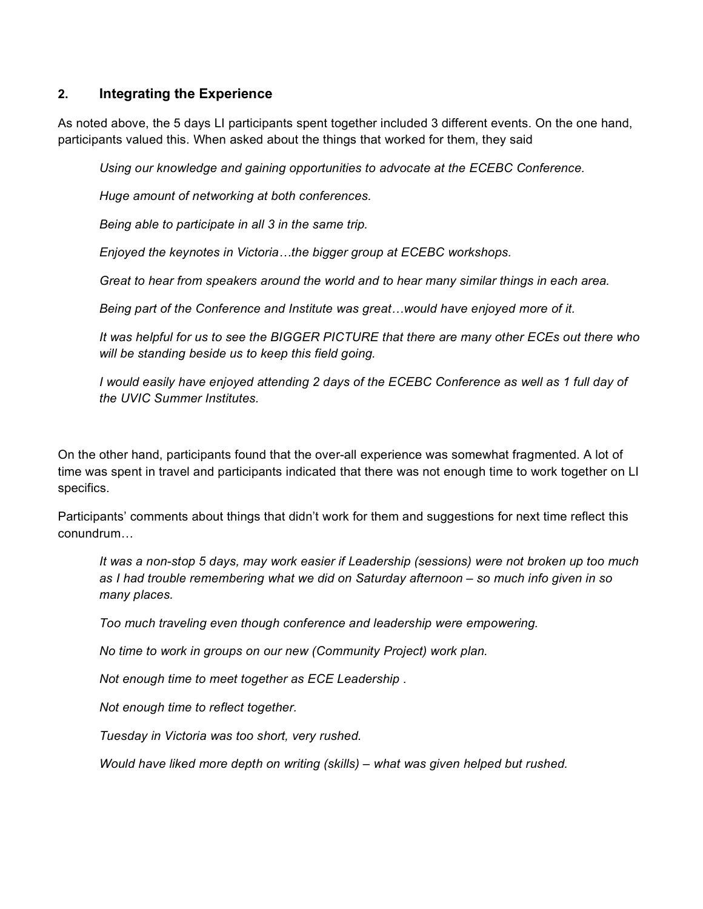#### **2. Integrating the Experience**

As noted above, the 5 days LI participants spent together included 3 different events. On the one hand, participants valued this. When asked about the things that worked for them, they said

*Using our knowledge and gaining opportunities to advocate at the ECEBC Conference.*

*Huge amount of networking at both conferences.*

*Being able to participate in all 3 in the same trip.*

*Enjoyed the keynotes in Victoria…the bigger group at ECEBC workshops.*

*Great to hear from speakers around the world and to hear many similar things in each area.*

*Being part of the Conference and Institute was great…would have enjoyed more of it.*

*It was helpful for us to see the BIGGER PICTURE that there are many other ECEs out there who will be standing beside us to keep this field going.*

*I would easily have enjoyed attending 2 days of the ECEBC Conference as well as 1 full day of the UVIC Summer Institutes.*

On the other hand, participants found that the over-all experience was somewhat fragmented. A lot of time was spent in travel and participants indicated that there was not enough time to work together on LI specifics.

Participants' comments about things that didn't work for them and suggestions for next time reflect this conundrum…

*It was a non-stop 5 days, may work easier if Leadership (sessions) were not broken up too much as I had trouble remembering what we did on Saturday afternoon – so much info given in so many places.*

*Too much traveling even though conference and leadership were empowering.*

*No time to work in groups on our new (Community Project) work plan.*

*Not enough time to meet together as ECE Leadership* .

*Not enough time to reflect together.*

*Tuesday in Victoria was too short, very rushed.*

*Would have liked more depth on writing (skills) – what was given helped but rushed.*